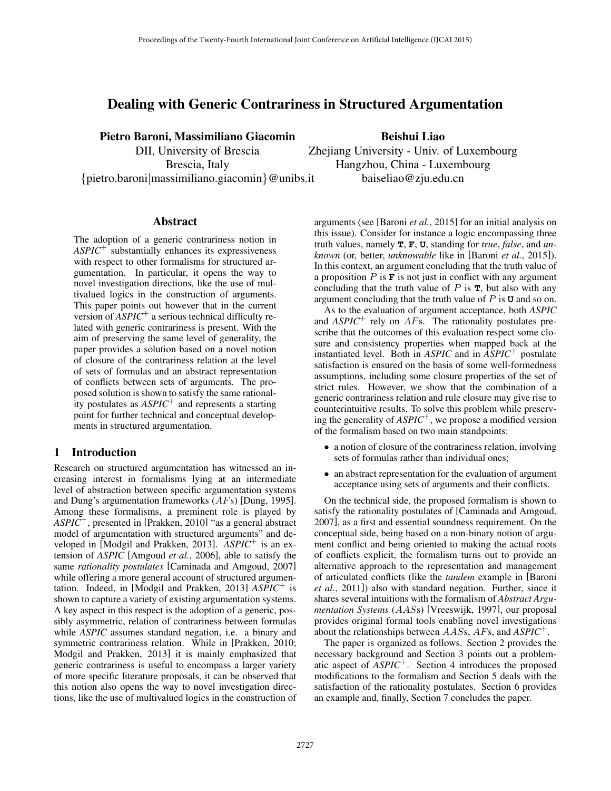# Dealing with Generic Contrariness in Structured Argumentation

Pietro Baroni, Massimiliano Giacomin DII, University of Brescia Brescia, Italy {pietro.baroni|massimiliano.giacomin}@unibs.it

Abstract

The adoption of a generic contrariness notion in *ASPIC*<sup>+</sup> substantially enhances its expressiveness with respect to other formalisms for structured argumentation. In particular, it opens the way to novel investigation directions, like the use of multivalued logics in the construction of arguments. This paper points out however that in the current version of *ASPIC*<sup>+</sup> a serious technical difficulty related with generic contrariness is present. With the aim of preserving the same level of generality, the paper provides a solution based on a novel notion of closure of the contrariness relation at the level of sets of formulas and an abstract representation of conflicts between sets of arguments. The proposed solution is shown to satisfy the same rationality postulates as *ASPIC*<sup>+</sup> and represents a starting point for further technical and conceptual developments in structured argumentation.

### 1 Introduction

Research on structured argumentation has witnessed an increasing interest in formalisms lying at an intermediate level of abstraction between specific argumentation systems and Dung's argumentation frameworks (AFs) [Dung, 1995]. Among these formalisms, a preminent role is played by *ASPIC*<sup>+</sup>, presented in [Prakken, 2010] "as a general abstract model of argumentation with structured arguments" and developed in [Modgil and Prakken, 2013]. *ASPIC*<sup>+</sup> is an extension of *ASPIC* [Amgoud *et al.*, 2006], able to satisfy the same *rationality postulates* [Caminada and Amgoud, 2007] while offering a more general account of structured argumentation. Indeed, in [Modgil and Prakken, 2013] *ASPIC*<sup>+</sup> is shown to capture a variety of existing argumentation systems. A key aspect in this respect is the adoption of a generic, possibly asymmetric, relation of contrariness between formulas while *ASPIC* assumes standard negation, i.e. a binary and symmetric contrariness relation. While in [Prakken, 2010; Modgil and Prakken, 2013] it is mainly emphasized that generic contrariness is useful to encompass a larger variety of more specific literature proposals, it can be observed that this notion also opens the way to novel investigation directions, like the use of multivalued logics in the construction of

Beishui Liao Zhejiang University - Univ. of Luxembourg Hangzhou, China - Luxembourg baiseliao@zju.edu.cn

arguments (see [Baroni *et al.*, 2015] for an initial analysis on this issue). Consider for instance a logic encompassing three truth values, namely **T**, **F**, **U**, standing for *true*, *false*, and *unknown* (or, better, *unknowable* like in [Baroni *et al.*, 2015]). In this context, an argument concluding that the truth value of a proposition  $P$  is  $\mathbf F$  is not just in conflict with any argument concluding that the truth value of  $P$  is  $\mathbf{T}$ , but also with any argument concluding that the truth value of P is **U** and so on.

As to the evaluation of argument acceptance, both *ASPIC* and  $ASPIC^+$  rely on  $AFs$ . The rationality postulates prescribe that the outcomes of this evaluation respect some closure and consistency properties when mapped back at the instantiated level. Both in *ASPIC* and in *ASPIC*<sup>+</sup> postulate satisfaction is ensured on the basis of some well-formedness assumptions, including some closure properties of the set of strict rules. However, we show that the combination of a generic contrariness relation and rule closure may give rise to counterintuitive results. To solve this problem while preserving the generality of *ASPIC*<sup>+</sup>, we propose a modified version of the formalism based on two main standpoints:

- a notion of closure of the contrariness relation, involving sets of formulas rather than individual ones;
- an abstract representation for the evaluation of argument acceptance using sets of arguments and their conflicts.

On the technical side, the proposed formalism is shown to satisfy the rationality postulates of [Caminada and Amgoud, 2007], as a first and essential soundness requirement. On the conceptual side, being based on a non-binary notion of argument conflict and being oriented to making the actual roots of conflicts explicit, the formalism turns out to provide an alternative approach to the representation and management of articulated conflicts (like the *tandem* example in [Baroni *et al.*, 2011]) also with standard negation. Further, since it shares several intuitions with the formalism of *Abstract Argumentation Systems* (AASs) [Vreeswijk, 1997], our proposal provides original formal tools enabling novel investigations about the relationships between AASs, AFs, and *ASPIC*<sup>+</sup>.

The paper is organized as follows. Section 2 provides the necessary background and Section 3 points out a problematic aspect of *ASPIC*<sup>+</sup>. Section 4 introduces the proposed modifications to the formalism and Section 5 deals with the satisfaction of the rationality postulates. Section 6 provides an example and, finally, Section 7 concludes the paper.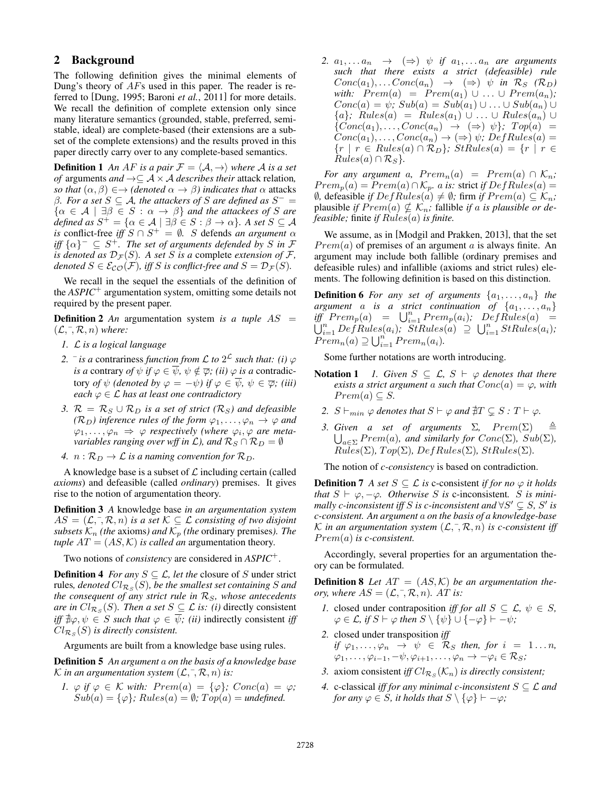### 2 Background

The following definition gives the minimal elements of Dung's theory of AFs used in this paper. The reader is referred to [Dung, 1995; Baroni *et al.*, 2011] for more details. We recall the definition of complete extension only since many literature semantics (grounded, stable, preferred, semistable, ideal) are complete-based (their extensions are a subset of the complete extensions) and the results proved in this paper directly carry over to any complete-based semantics.

**Definition 1** An AF is a pair  $\mathcal{F} = \langle \mathcal{A}, \rightarrow \rangle$  where A is a set *of* arguments *and*  $\rightarrow \subseteq A \times A$  *describes their* attack relation, *so that*  $(\alpha, \beta) \in \rightarrow$  *(denoted*  $\alpha \rightarrow \beta$ *) indicates that*  $\alpha$  attacks  $β$ *. For a set*  $S ⊆ A$ *, the attackers of*  $S$  *are defined as*  $S<sup>−</sup> =$  $\{\alpha \in \mathcal{A} \mid \exists \beta \in S : \alpha \rightarrow \beta\}$  *and the attackees of* S *are*  $\det(\text{d} \cdot \mathbf{S}) = \{ \alpha \in \mathcal{A} \mid \exists \beta \in S : \beta \to \alpha \}.$  A set  $S \subseteq \mathcal{A}$ *is* conflict-free *iff*  $S \cap S^+ = \emptyset$ . S defends *an argument*  $\alpha$ *iff*  $\{\alpha\}^ \subseteq$  *S*<sup>+</sup>. The set of arguments defended by *S* in *F is denoted as*  $D_{\mathcal{F}}(S)$ *. A set S is a* complete *extension of*  $\mathcal{F}$ *, denoted*  $S \in \mathcal{E}_{CO}(\mathcal{F})$ *, iff* S *is conflict-free and*  $S = \mathcal{D}_{\mathcal{F}}(S)$ *.* 

We recall in the sequel the essentials of the definition of the *ASPIC*<sup>+</sup> argumentation system, omitting some details not required by the present paper.

**Definition 2** An argumentation system is a tuple  $AS =$  $(\mathcal{L}, \bar{\mathcal{R}}, n)$  *where:* 

- *1.* L *is a logical language*
- 2.  $\bar{i}$  *is a* contrariness *function from*  $\mathcal{L}$  *to*  $2^{\mathcal{L}}$  *such that: (i)*  $\varphi$ *is a* contrary *of*  $\psi$  *if*  $\varphi \in \overline{\psi}$ *,*  $\psi \notin \overline{\varphi}$ *; (ii)*  $\varphi$  *is a* contradictory *of*  $\psi$  *(denoted by*  $\varphi = -\psi$ *)* if  $\varphi \in \overline{\psi}$ ,  $\psi \in \overline{\varphi}$ ; *(iii) each*  $\varphi \in \mathcal{L}$  *has at least one contradictory*
- *3.*  $\mathcal{R} = \mathcal{R}_S \cup \mathcal{R}_D$  *is a set of strict* ( $\mathcal{R}_S$ *) and defeasible (* $\mathcal{R}_D$ *)* inference rules of the form  $\varphi_1, \ldots, \varphi_n \to \varphi$  and  $\varphi_1, \ldots, \varphi_n \Rightarrow \varphi$  respectively (where  $\varphi_i, \varphi$  are meta*variables ranging over wff in*  $\mathcal{L}$ *), and*  $\mathcal{R}_S \cap \mathcal{R}_D = \emptyset$

*4.*  $n : \mathcal{R}_D \to \mathcal{L}$  *is a naming convention for*  $\mathcal{R}_D$ *.* 

A knowledge base is a subset of  $\mathcal L$  including certain (called *axioms*) and defeasible (called *ordinary*) premises. It gives rise to the notion of argumentation theory.

Definition 3 *A* knowledge base *in an argumentation system*  $AS = (\mathcal{L}, \bar{\mathcal{L}}, \mathcal{R}, n)$  *is a set*  $\mathcal{K} \subseteq \mathcal{L}$  *consisting of two disjoint subsets*  $K_n$  *(the axioms) and*  $K_p$  *(the ordinary premises). The tuple*  $AT = (AS, K)$  *is called an* argumentation theory.

Two notions of *consistency* are considered in *ASPIC*<sup>+</sup>.

**Definition 4** *For any*  $S \subseteq \mathcal{L}$ *, let the* closure of S under strict rules,  $\emph{denoted } Cl_{\mathcal{R}_{S}}(S)$ , be the smallest set containing  $S$  and *the consequent of any strict rule in*  $R<sub>S</sub>$ *, whose antecedents are in*  $Cl_{\mathcal{R}_S}(S)$ *. Then a set*  $S \subseteq \mathcal{L}$  *is: (i)* directly consistent *iff*  $\forall \psi \in S$  *such that*  $\varphi \in \overline{\psi}$ *; (ii)* indirectly consistent *iff*  $Cl_{\mathcal{R}_S}(S)$  is directly consistent.

Arguments are built from a knowledge base using rules.

Definition 5 *An argument* a *on the basis of a knowledge base* K *in an argumentation system*  $(L, \bar{L}, \mathcal{R}, n)$  *is:* 

*1.*  $\varphi$  *if*  $\varphi \in \mathcal{K}$  *with:*  $Prem(a) = {\varphi}$ *;*  $Conc(a) = \varphi$ *;*  $Sub(a) = {\varphi}$ ;  $Rules(a) = \emptyset$ ;  $Top(a) = undefined$ .

2.  $a_1, \ldots a_n \rightarrow (\Rightarrow) \psi$  *if*  $a_1, \ldots a_n$  *are arguments such that there exists a strict (defeasible) rule*  $Conc(a_1), \ldots Conc(a_n) \rightarrow (\Rightarrow) \psi$  *in*  $\mathcal{R}_S$  ( $\mathcal{R}_D$ ) *with:*  $Prem(a) = Prem(a_1) \cup ... \cup Prem(a_n);$  $Conc(a) = \psi$ ;  $Sub(a) = Sub(a_1) \cup ... \cup Sub(a_n) \cup ...$  ${a}$ *;* Rules(a) = Rules(a<sub>1</sub>) ∪ ... ∪ Rules(a<sub>n</sub>) ∪  $\{Conc(a_1), \ldots, Conc(a_n) \rightarrow (\Rightarrow) \psi\}$ ;  $Top(a)$  =  $Conc(a_1), \ldots, Conc(a_n) \rightarrow (\Rightarrow) \psi; \, DefRules(a) =$  ${r \mid r \in Rules(a) \cap R_D};$   $StRules(a) = {r \mid r \in$  $Rules(a) \cap \mathcal{R}_S$ .

*For any argument a,*  $Prem_n(a) = Prem(a) \cap K_n$ *;*  $Prem_p(a) = Prem(a) \cap \mathcal{K}_p$ *. a is:* strict *if*  $DefRules(a) =$ *Ø*, defeasible *if*  $DefRules(a) ≠ ∅$ ; firm *if*  $Prem(a) ⊆ K_n$ ; plausible *if*  $Prem(a) \nsubseteq \mathcal{K}_n$ ; fallible *if* a *is plausible or defeasible;* finite *if* Rules(a) *is finite.*

We assume, as in [Modgil and Prakken, 2013], that the set  $Prem(a)$  of premises of an argument a is always finite. An argument may include both fallible (ordinary premises and defeasible rules) and infallible (axioms and strict rules) elements. The following definition is based on this distinction.

**Definition 6** For any set of arguments  $\{a_1, \ldots, a_n\}$  the *argument*  $\alpha$  *is a strict continuation of*  $\{a_1, \ldots, a_n\}$  $\iint_{\mathcal{F}}^{\infty} Prem_p(a) = \bigcup_{i=1}^n Prem_p(a_i);$   $\iint_{\mathcal{F}}^{\infty}Rules(a) =$  $\bigcup_{i=1}^n DefRules(a_i); \quad Strules(a) \supseteq \bigcup_{i=1}^n StRules(a_i);$  $Prem_n(a) \supseteq \bigcup_{i=1}^n Prem_n(a_i).$ 

Some further notations are worth introducing.

- **Notation 1** *1. Given*  $S \subseteq \mathcal{L}, S \vdash \varphi$  *denotes that there exists a strict argument a such that*  $Conc(a) = \varphi$ *, with*  $Prem(a) \subseteq S$ .
	- 2.  $S \vdash_{min} \varphi$  *denotes that*  $S \vdash \varphi$  *and*  $\sharp T \subseteq S : T \vdash \varphi$ *.*
	- 3. Given a set of arguments  $\Sigma$ ,  $Prem(\Sigma)$   $\triangleq$  $\bigcup_{a \in \Sigma} Prem(a)$ , and similarly for  $Conc(\Sigma)$ ,  $Sub(\Sigma)$ ,  $Rules(\Sigma)$ *, Top* $(\Sigma)$ *, DefRules* $(\Sigma)$ *, StRules* $(\Sigma)$ *.*

The notion of *c-consistency* is based on contradiction.

**Definition 7** *A set*  $S \subseteq \mathcal{L}$  *is* c-consistent *if for no*  $\varphi$  *it holds that*  $S \vdash \varphi, -\varphi$ *. Otherwise* S *is* c-inconsistent. S *is minimally c-inconsistent iff* S is *c-inconsistent and*  $\forall S' \subsetneq S$ , S' is *c-consistent. An argument* a *on the basis of a knowledge-base* K in an argumentation system  $(\mathcal{L}, \bar{\mathcal{R}}, n)$  is c-consistent iff P rem(a) *is c-consistent.*

Accordingly, several properties for an argumentation theory can be formulated.

**Definition 8** Let  $AT = (AS, K)$  be an argumentation the*ory, where*  $AS = (\mathcal{L}, \bar{\mathcal{L}}, \mathcal{R}, n)$ *. AT is:* 

- *1.* closed under contraposition *iff for all*  $S \subseteq \mathcal{L}, \psi \in S$ ,  $\varphi \in \mathcal{L}$ , if  $S \vdash \varphi$  then  $S \setminus \{\psi\} \cup \{-\varphi\} \vdash -\psi$ ;
- *2.* closed under transposition *iff if*  $\varphi_1, \ldots, \varphi_n \to \psi \in \mathcal{R}_S$  *then, for*  $i = 1 \ldots n$ *,*  $\varphi_1, \ldots, \varphi_{i-1}, -\psi, \varphi_{i+1}, \ldots, \varphi_n \to -\varphi_i \in \mathcal{R}_S;$
- 3. axiom consistent *iff*  $Cl_{\mathcal{R}_S}(\mathcal{K}_n)$  *is directly consistent*;
- *4.* c-classical *iff for any minimal c-inconsistent*  $S \subseteq \mathcal{L}$  *and for any*  $\varphi \in S$ *, it holds that*  $S \setminus {\varphi} \vdash -\varphi$ *;*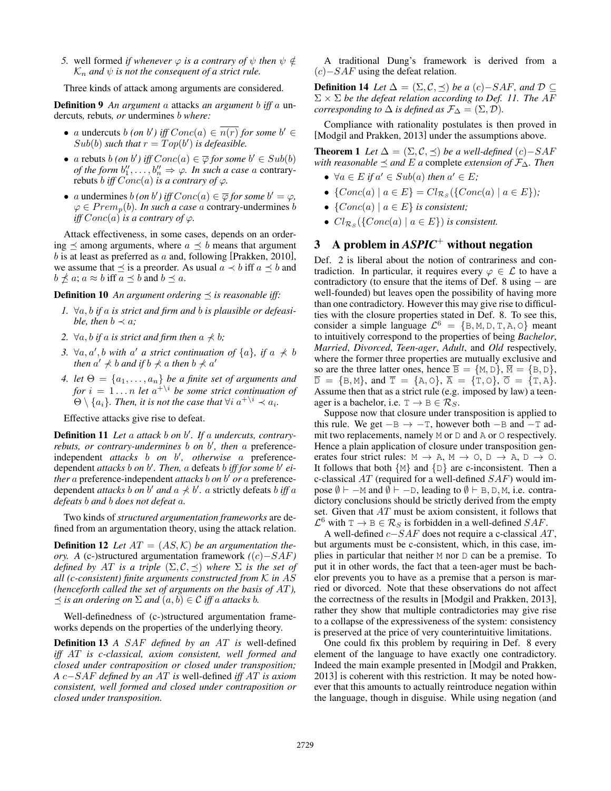*5.* well formed *if whenever*  $\varphi$  *is a contrary of*  $\psi$  *then*  $\psi \notin$  $\mathcal{K}_n$  *and*  $\psi$  *is not the consequent of a strict rule.* 

Three kinds of attack among arguments are considered.

Definition 9 *An argument* a attacks *an argument* b *iff* a undercuts*,* rebuts*, or* undermines b *where:*

- a undercuts b (on b') iff  $Conc(a) \in \overline{n(r)}$  for some b'  $\in$  $Sub(b)$  such that  $r = Top(b')$  is defeasible.
- a rebuts b *(on b')* iff  $Conc(a) \in \overline{\varphi}$  for some  $b' \in Sub(b)$ *of the form*  $b_1'', \ldots, b_n'' \Rightarrow \varphi$ . *In such a case a contrary*rebuts *b iff*  $Conc(a)$  *is a contrary of*  $\varphi$ *.*
- *a* undermines *b (on b') iff*  $Conc(a) \in \overline{\varphi}$  *for some*  $b' = \varphi$ *,*  $\varphi \in Prem_p(b)$ *. In such a case a contrary-undermines b iff*  $Conc(a)$  *is a contrary of*  $\varphi$ *.*

Attack effectiveness, in some cases, depends on an ordering  $\preceq$  among arguments, where  $a \preceq b$  means that argument  $b$  is at least as preferred as  $a$  and, following [Prakken, 2010], we assume that  $\preceq$  is a preorder. As usual  $a \prec b$  iff  $a \preceq b$  and  $b \npreceq a$ ;  $a \approx b$  iff  $a \preceq b$  and  $b \preceq a$ .

**Definition 10** An argument ordering  $\prec$  is reasonable iff:

- *1.* ∀a, b *if* a *is strict and firm and* b *is plausible or defeasible, then*  $b \prec a$ *;*
- 2.  $\forall a, b$  *if* a *is strict and firm then*  $a \nless b$ *;*
- 3.  $\forall a, a', b \text{ with } a' \text{ a strict continuation of } \{a\}, \text{ if } a \nless b$ then  $a' \nprec b$  and if  $b \nprec a$  then  $b \nprec a'$
- *4. let*  $\Theta = \{a_1, \ldots, a_n\}$  *be a finite set of arguments and for*  $i = 1...n$  *let*  $a^{+\setminus i}$  *be some strict continuation of*  $\Theta \setminus \{a_i\}$ . Then, it is not the case that  $\forall i \; a^{+\setminus i} \prec a_i$ .

Effective attacks give rise to defeat.

Definition 11 Let a attack b on b'. If a undercuts, contraryrebuts, or contrary-undermines b on b', then a preferenceindependent *attacks* b *on* b 0 *, otherwise* a preferencedependent *attacks b* on *b'*. Then, *a* defeats *b iff for some b' either* a preference-independent *attacks* b on b' or a preferencedependent *attacks* b on b' and  $a \nless b'$ . a strictly defeats b iff a *defeats* b *and* b *does not defeat* a*.*

Two kinds of *structured argumentation frameworks* are defined from an argumentation theory, using the attack relation.

**Definition 12** Let  $AT = (AS, K)$  be an argumentation the*ory. A* (c-)structured argumentation framework *(*(c)−SAF*) defined by AT is a triple*  $(\Sigma, \mathcal{C}, \preceq)$  *where*  $\Sigma$  *is the set of all (c-consistent) finite arguments constructed from* K *in* AS *(henceforth called the set of arguments on the basis of* AT*),*  $\leq$  *is an ordering on*  $\Sigma$  *and*  $(a, b) \in C$  *iff* a *attacks b.* 

Well-definedness of (c-)structured argumentation frameworks depends on the properties of the underlying theory.

Definition 13 *A* SAF *defined by an* AT *is* well-defined *iff* AT *is c-classical, axiom consistent, well formed and closed under contraposition or closed under transposition; A* c−SAF *defined by an* AT *is* well-defined *iff* AT *is axiom consistent, well formed and closed under contraposition or closed under transposition.*

A traditional Dung's framework is derived from a  $(c)$ −SAF using the defeat relation.

**Definition 14** *Let*  $\Delta = (\Sigma, \mathcal{C}, \preceq)$  *be a* (*c*)−*SAF, and*  $\mathcal{D} \subseteq$  $\Sigma \times \Sigma$  *be the defeat relation according to Def. 11. The AF corresponding to*  $\Delta$  *is defined as*  $\mathcal{F}_{\Delta} = (\Sigma, \mathcal{D})$ *.* 

Compliance with rationality postulates is then proved in [Modgil and Prakken, 2013] under the assumptions above.

**Theorem 1** *Let*  $\Delta = (\Sigma, \mathcal{C}, \preceq)$  *be a well-defined*  $(c)$ –*SAF with reasonable*  $\preceq$  *and E a* complete *extension of*  $\mathcal{F}_{\Delta}$ *. Then* 

- $\forall a \in E$  if  $a' \in Sub(a)$  then  $a' \in E$ ;
- { $Conc(a) | a \in E$ } =  $Cl_{\mathcal{R}_S}(\{Conc(a) | a \in E\})$ ;
- ${Conc}(a) | a \in E$ } *is consistent*;
- $Cl_{\mathcal{R}_S}(\{Conc(a) \mid a \in E\})$  *is consistent.*

# 3 A problem in *ASPIC*<sup>+</sup> without negation

Def. 2 is liberal about the notion of contrariness and contradiction. In particular, it requires every  $\varphi \in \mathcal{L}$  to have a contradictory (to ensure that the items of Def. 8 using  $-$  are well-founded) but leaves open the possibility of having more than one contradictory. However this may give rise to difficulties with the closure properties stated in Def. 8. To see this, consider a simple language  $\mathcal{L}^6 = \{B, M, D, T, A, O\}$  meant to intuitively correspond to the properties of being *Bachelor*, *Married*, *Divorced*, *Teen-ager*, *Adult*, and *Old* respectively, where the former three properties are mutually exclusive and so are the three latter ones, hence  $\overline{B} = \{M, D\}$ ,  $\overline{M} = \{B, D\}$ ,  $\overline{D} = \{B, M\}$ , and  $\overline{T} = \{A, O\}$ ,  $\overline{A} = \{T, O\}$ ,  $\overline{O} = \{T, A\}$ . Assume then that as a strict rule (e.g. imposed by law) a teenager is a bachelor, i.e.  $T \rightarrow B \in \mathcal{R}_S$ .

Suppose now that closure under transposition is applied to this rule. We get  $-B \rightarrow -T$ , however both  $-B$  and  $-T$  admit two replacements, namely M or D and A or O respectively. Hence a plain application of closure under transposition generates four strict rules:  $M \rightarrow A$ ,  $M \rightarrow O$ ,  $D \rightarrow A$ ,  $D \rightarrow O$ . It follows that both  ${M}$  and  ${D}$  are c-inconsistent. Then a c-classical  $AT$  (required for a well-defined  $SAF$ ) would impose  $\emptyset \vdash -M$  and  $\emptyset \vdash -D$ , leading to  $\emptyset \vdash B, D, M$ , i.e. contradictory conclusions should be strictly derived from the empty set. Given that AT must be axiom consistent, it follows that  $\mathcal{L}^6$  with  $T \to B \in \mathcal{R}_S$  is forbidden in a well-defined  $SAF$ .

A well-defined c−SAF does not require a c-classical AT, but arguments must be c-consistent, which, in this case, implies in particular that neither M nor D can be a premise. To put it in other words, the fact that a teen-ager must be bachelor prevents you to have as a premise that a person is married or divorced. Note that these observations do not affect the correctness of the results in [Modgil and Prakken, 2013], rather they show that multiple contradictories may give rise to a collapse of the expressiveness of the system: consistency is preserved at the price of very counterintuitive limitations.

One could fix this problem by requiring in Def. 8 every element of the language to have exactly one contradictory. Indeed the main example presented in [Modgil and Prakken, 2013] is coherent with this restriction. It may be noted however that this amounts to actually reintroduce negation within the language, though in disguise. While using negation (and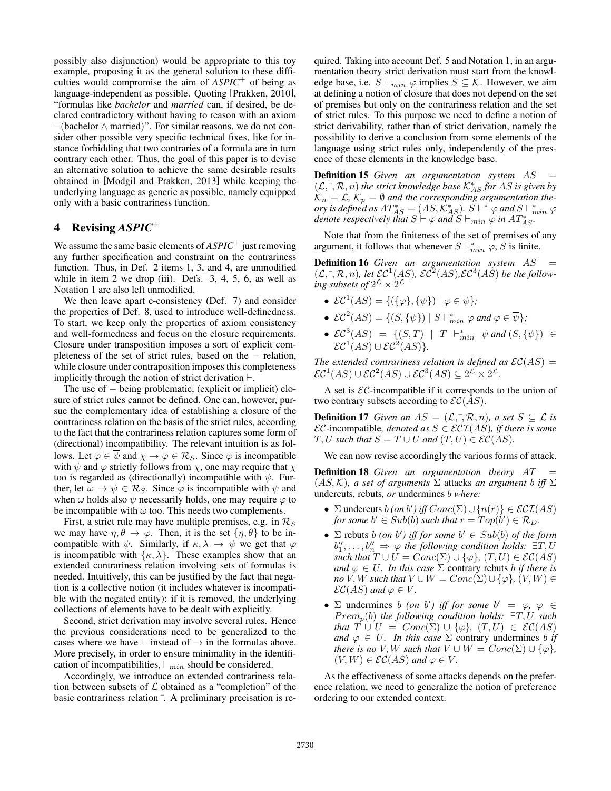possibly also disjunction) would be appropriate to this toy example, proposing it as the general solution to these difficulties would compromise the aim of *ASPIC*<sup>+</sup> of being as language-independent as possible. Quoting [Prakken, 2010], "formulas like *bachelor* and *married* can, if desired, be declared contradictory without having to reason with an axiom ¬(bachelor ∧ married)". For similar reasons, we do not consider other possible very specific technical fixes, like for instance forbidding that two contraries of a formula are in turn contrary each other. Thus, the goal of this paper is to devise an alternative solution to achieve the same desirable results obtained in [Modgil and Prakken, 2013] while keeping the underlying language as generic as possible, namely equipped only with a basic contrariness function.

# 4 Revising *ASPIC*<sup>+</sup>

We assume the same basic elements of *ASPIC*<sup>+</sup> just removing any further specification and constraint on the contrariness function. Thus, in Def. 2 items 1, 3, and 4, are unmodified while in item 2 we drop (iii). Defs. 3, 4, 5, 6, as well as Notation 1 are also left unmodified.

We then leave apart c-consistency (Def. 7) and consider the properties of Def. 8, used to introduce well-definedness. To start, we keep only the properties of axiom consistency and well-formedness and focus on the closure requirements. Closure under transposition imposes a sort of explicit completeness of the set of strict rules, based on the − relation, while closure under contraposition imposes this completeness implicitly through the notion of strict derivation  $\vdash$ .

The use of − being problematic, (explicit or implicit) closure of strict rules cannot be defined. One can, however, pursue the complementary idea of establishing a closure of the contrariness relation on the basis of the strict rules, according to the fact that the contrariness relation captures some form of (directional) incompatibility. The relevant intuition is as follows. Let  $\varphi \in \psi$  and  $\chi \to \varphi \in \mathcal{R}_S$ . Since  $\varphi$  is incompatible with  $\psi$  and  $\varphi$  strictly follows from  $\chi$ , one may require that  $\chi$ too is regarded as (directionally) incompatible with  $\psi$ . Further, let  $\omega \to \psi \in \mathcal{R}_S$ . Since  $\varphi$  is incompatible with  $\psi$  and when  $\omega$  holds also  $\psi$  necessarily holds, one may require  $\varphi$  to be incompatible with  $\omega$  too. This needs two complements.

First, a strict rule may have multiple premises, e.g. in  $\mathcal{R}_S$ we may have  $\eta$ ,  $\theta \to \varphi$ . Then, it is the set  $\{\eta, \theta\}$  to be incompatible with  $\psi$ . Similarly, if  $\kappa, \lambda \to \psi$  we get that  $\varphi$ is incompatible with  $\{\kappa, \lambda\}$ . These examples show that an extended contrariness relation involving sets of formulas is needed. Intuitively, this can be justified by the fact that negation is a collective notion (it includes whatever is incompatible with the negated entity): if it is removed, the underlying collections of elements have to be dealt with explicitly.

Second, strict derivation may involve several rules. Hence the previous considerations need to be generalized to the cases where we have  $\vdash$  instead of  $\rightarrow$  in the formulas above. More precisely, in order to ensure minimality in the identification of incompatibilities,  $\vdash_{min}$  should be considered.

Accordingly, we introduce an extended contrariness relation between subsets of  $\mathcal L$  obtained as a "completion" of the basic contrariness relation  $\overline{\phantom{a}}$ . A preliminary precisation is required. Taking into account Def. 5 and Notation 1, in an argumentation theory strict derivation must start from the knowledge base, i.e.  $S \vdash_{min} \varphi$  implies  $S \subseteq \mathcal{K}$ . However, we aim at defining a notion of closure that does not depend on the set of premises but only on the contrariness relation and the set of strict rules. To this purpose we need to define a notion of strict derivability, rather than of strict derivation, namely the possibility to derive a conclusion from some elements of the language using strict rules only, independently of the presence of these elements in the knowledge base.

Definition 15 *Given an argumentation system* AS = (L,¯, <sup>R</sup>, n) *the strict knowledge base* <sup>K</sup><sup>∗</sup> AS *for* AS *is given by*  $\mathcal{K}_n = \mathcal{L}, \, \mathcal{K}_p = \emptyset$  and the corresponding argumentation theory is defined as  $AT^*_{AS} = (AS, \mathcal{K}^*_{AS})$ .  $S \vdash^* \varphi$  and  $S \vdash^*_{min} \varphi$ *denote respectively that*  $S \vdash \varphi$  *and*  $S \vdash_{min} \varphi$  *in*  $AT_{AS}^*$ .

Note that from the finiteness of the set of premises of any argument, it follows that whenever  $S \vdash_{min}^* \varphi$ , S is finite.

**Definition 16** *Given an argumentation system AS* =  $(\mathcal{L}, \bar{\mathcal{L}}, \mathcal{R}, n)$ *, let*  $\mathcal{EC}^1(AS)$ *,*  $\mathcal{EC}^2(AS)$ *,* $\mathcal{EC}^3(AS)$  *be the follow*ing subsets of  $2^{\mathcal{L}} \times 2^{\mathcal{L}}$ 

- $\mathcal{EC}^1(AS) = \{ (\{\varphi\}, \{\psi\}) \mid \varphi \in \overline{\psi} \};$
- $\mathcal{EC}^2(AS) = \{ (S, \{\psi\}) \mid S \vdash_{min}^* \varphi \text{ and } \varphi \in \overline{\psi} \};$
- $\mathcal{EC}^{3}(AS) = \{ (S, T) | T \vdash_{min}^* \psi \text{ and } (S, {\psi}) \in$  $\mathcal{EC}^1(AS) \cup \mathcal{EC}^2(AS)$ .

*The extended contrariness relation is defined as*  $\mathcal{EC}(AS)$  =  $\mathcal{EC}^1(AS) \cup \mathcal{EC}^2(AS) \cup \mathcal{EC}^3(AS) \subseteq 2^{\mathcal{L}} \times 2^{\mathcal{L}}.$ 

A set is  $\mathcal{EC}$ -incompatible if it corresponds to the union of two contrary subsets according to  $\mathcal{EC}(\overline{AS})$ .

**Definition 17** *Given an*  $AS = (\mathcal{L}, \bar{\mathcal{L}}, \mathcal{R}, n)$ *, a set*  $S \subseteq \mathcal{L}$  *is*  $\mathcal{EC}\text{-incompatible},$  denoted as  $S \in \mathcal{ECI}(AS)$ , if there is some  $T, U$  such that  $S = T \cup U$  and  $(T, U) \in \mathcal{EC}(AS)$ .

We can now revise accordingly the various forms of attack.

**Definition 18** *Given an argumentation theory AT*  $(AS, \mathcal{K})$ *, a set of arguments*  $\Sigma$  attacks *an argument b iff*  $\Sigma$ undercuts*,* rebuts*, or* undermines b *where:*

- Σ undercuts  $b$  (*on*  $b'$ ) iff  $Conc(\Sigma) \cup \{n(r)\}\in \mathcal{ECI}(AS)$ *for some*  $b' \in Sub(b)$  *such that*  $r = Top(b') \in \mathcal{R}_D$ *.*
- $\sum$  rebuts *b* (*on b'*) *iff for some b'*  $\in$   $Sub(b)$  *of the form*  $b''_1, \ldots, b''_n \Rightarrow \varphi$  the following condition holds:  $\exists T, U$ *such that*  $T \cup U = Conc(\Sigma) \cup {\varphi}$ *,*  $(T, U) \in \mathcal{EC}(AS)$ *and*  $\varphi \in U$ *. In this case*  $\Sigma$  contrary rebuts *b if there is no*  $V, W$  *such that*  $V \cup W = Conc(\Sigma) \cup {\varphi}$ *,*  $(V, W) \in$  $\mathcal{EC}(AS)$  and  $\varphi \in V$ .
- $\Sigma$  undermines b *(on b')* iff for some  $b' = \varphi, \varphi \in \Sigma$ P remp(b) *the following condition holds:* ∃T, U *such that*  $T \cup U = Conc(\Sigma) \cup {\varphi}$ *,*  $(T, U) \in \mathcal{EC}(AS)$ *and*  $\varphi \in U$ *. In this case*  $\Sigma$  contrary undermines b *if there is no V*, *W such that*  $V \cup W = Conc(\Sigma) \cup {\varphi}$ *,*  $(V, W) \in \mathcal{EC}(AS)$  and  $\varphi \in V$ .

As the effectiveness of some attacks depends on the preference relation, we need to generalize the notion of preference ordering to our extended context.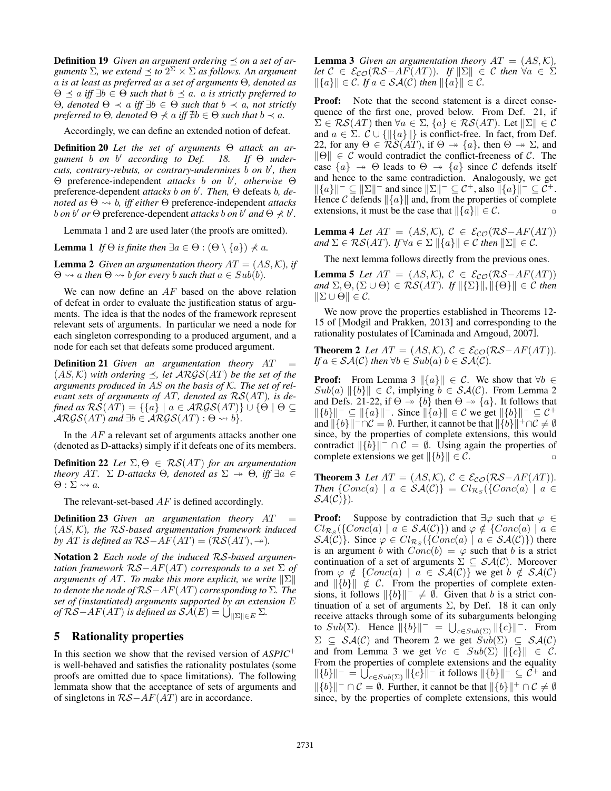**Definition 19** Given an argument ordering  $\preceq$  on a set of ar*guments*  $\Sigma$ *, we extend*  $\leq$  *to*  $2^{\Sigma} \times \Sigma$  *as follows. An argument* a *is at least as preferred as a set of arguments* Θ*, denoted as*  $\Theta \preceq a$  *iff*  $\exists b \in \Theta$  *such that*  $b \preceq a$ *. a is strictly preferred to* Θ*, denoted* Θ ≺ a *iff* ∃b ∈ Θ *such that* b ≺ a*, not strictly preferred to*  $\Theta$ *, denoted*  $\Theta \nprec a$  *iff*  $\nexists b \in \Theta$  *such that*  $b \prec a$ *.* 

Accordingly, we can define an extended notion of defeat.

Definition 20 *Let the set of arguments* Θ *attack an argument* b *on* b <sup>0</sup> *according to Def. 18. If* Θ *undercuts, contrary-rebuts, or contrary-undermines* b *on* b 0 *, then* Θ preference-independent *attacks* b *on* b 0 *, otherwise* Θ preference-dependent *attacks b* on *b'*. Then, Θ defeats *b, denoted as*  $\Theta \rightarrow b$ , *iff either*  $\Theta$  preference-independent *attacks b on b' or*  $\Theta$  preference-dependent *attacks b on b' and*  $\Theta \nless b'$ .

Lemmata 1 and 2 are used later (the proofs are omitted).

**Lemma 1** *If*  $\Theta$  *is finite then*  $\exists a \in \Theta : (\Theta \setminus \{a\}) \npreceq a$ *.* 

**Lemma 2** *Given an argumentation theory*  $AT = (AS, K)$ *, if*  $\Theta \rightsquigarrow a$  *then*  $\Theta \rightsquigarrow b$  *for every b such that*  $a \in Sub(b)$ *.* 

We can now define an  $AF$  based on the above relation of defeat in order to evaluate the justification status of arguments. The idea is that the nodes of the framework represent relevant sets of arguments. In particular we need a node for each singleton corresponding to a produced argument, and a node for each set that defeats some produced argument.

**Definition 21** *Given an argumentation theory AT*  $(AS, \mathcal{K})$  *with ordering*  $\preceq$ , *let*  $ARGS(AT)$  *be the set of the arguments produced in* AS *on the basis of* K*. The set of relevant sets of arguments of* AT*, denoted as* RS(AT)*, is defined as*  $RS(AT) = \{\{a\} \mid a \in \mathcal{ARGS}(AT)\} \cup \{\Theta \mid \Theta \subseteq$  $\mathcal{ARGS}(AT)$  *and*  $\exists b \in \mathcal{ARGS}(AT) : \Theta \rightsquigarrow b$ *}*.

In the  $AF$  a relevant set of arguments attacks another one (denoted as D-attacks) simply if it defeats one of its members.

**Definition 22** *Let*  $\Sigma, \Theta \in \mathcal{RS}(AT)$  *for an argumentation theory* AT.  $\Sigma$  *D-attacks*  $\Theta$ *, denoted as*  $\Sigma \rightarrow \Theta$ *, iff*  $\exists a \in \Theta$  $\Theta: \Sigma \rightsquigarrow a$ .

The relevant-set-based  $AF$  is defined accordingly.

**Definition 23** Given an argumentation theory AT (AS, K)*, the* RS*-based argumentation framework induced by* AT *is defined as*  $RS-AF(AT) = (RS(AT), \rightarrow)$ *.* 

Notation 2 *Each node of the induced* RS*-based argumentation framework* RS−AF(AT) *corresponds to a set* Σ *of arguments of AT. To make this more explicit, we write*  $||\Sigma||$ *to denote the node of* RS−AF(AT) *corresponding to* Σ*. The set of (instantiated) arguments supported by an extension* E  $of$   $\mathcal{RS}-AF(AT)$  *is defined as*  $\mathcal{SA}(E) = \bigcup_{\parallel \Sigma \parallel \in E} \Sigma$ *.* 

### 5 Rationality properties

In this section we show that the revised version of *ASPIC*<sup>+</sup> is well-behaved and satisfies the rationality postulates (some proofs are omitted due to space limitations). The following lemmata show that the acceptance of sets of arguments and of singletons in  $RS-AF(AT)$  are in accordance.

**Lemma 3** *Given an argumentation theory*  $AT = (AS, K)$ *, let*  $C \in \mathcal{E}_{CO}(\mathcal{RS}-AF(AT))$ *. If*  $\|\Sigma\| \in C$  *then*  $\forall a \in \Sigma$  $\|\{a\}\|$  ∈ C. If  $a \in \mathcal{SA}(\mathcal{C})$  then  $\|\{a\}\|$  ∈ C.

**Proof:** Note that the second statement is a direct consequence of the first one, proved below. From Def. 21, if  $\Sigma \in \mathcal{RS}(AT)$  then  $\forall a \in \Sigma$ ,  $\{a\} \in \mathcal{RS}(AT)$ . Let  $\|\Sigma\| \in \mathcal{C}$ and  $a \in \Sigma$ .  $\mathcal{C} \cup \{ ||\{a\}|| \}$  is conflict-free. In fact, from Def. 22, for any  $\Theta \in \mathcal{RS}(AT)$ , if  $\Theta \rightarrow \{a\}$ , then  $\Theta \rightarrow \Sigma$ , and  $\|\Theta\| \in \mathcal{C}$  would contradict the conflict-freeness of  $\mathcal{C}$ . The case  $\{a\} \rightarrow \Theta$  leads to  $\Theta \rightarrow \{a\}$  since C defends itself and hence to the same contradiction. Analogously, we get  $\|\{a\}\|^{-} \subseteq \|\Sigma\|^{-}$  and since  $\|\Sigma\|^{-} \subseteq \mathcal{C}^{+}$ , also  $\|\{a\}\|^{-} \subseteq \mathcal{C}^{+}$ . Hence C defends  $\|\{a\}\|$  and, from the properties of complete extensions, it must be the case that  $\|\{a\}\| \in C$ . extensions, it must be the case that  $\|\{a\}\| \in \mathcal{C}$ .

**Lemma 4** *Let*  $AT = (AS, \mathcal{K})$ ,  $\mathcal{C} \in \mathcal{E}_{\mathcal{CO}}(\mathcal{RS}-AF(AT))$ *and*  $\Sigma \in \mathcal{RS}(AT)$ *.* If  $\forall a \in \Sigma \|\{a\}\| \in \mathcal{C}$  *then*  $\|\Sigma\| \in \mathcal{C}$ *.* 

The next lemma follows directly from the previous ones.

**Lemma 5** *Let*  $AT = (AS, K)$ ,  $C \in \mathcal{E}_{CO}(\mathcal{RS}-AF(AT))$  $\mathcal{L}(\Theta,\Theta,\Sigma,\Theta,\Sigma\cup\Theta) \in \mathcal{RS}(AT)$ *.* If  $\|\{\Sigma\}\|,\|\{\Theta\}\| \in \mathcal{C}$  then  $\|\Sigma \cup \Theta\| \in \mathcal{C}$ .

We now prove the properties established in Theorems 12- 15 of [Modgil and Prakken, 2013] and corresponding to the rationality postulates of [Caminada and Amgoud, 2007].

**Theorem 2** *Let*  $AT = (AS, \mathcal{K})$ ,  $\mathcal{C} \in \mathcal{E}_{\mathcal{C} \mathcal{O}}(\mathcal{R} \mathcal{S} - AF(AT))$ *. If*  $a \in \mathcal{SA}(\mathcal{C})$  *then*  $\forall b \in Sub(a)$   $b \in \mathcal{SA}(\mathcal{C})$ *.* 

**Proof:** From Lemma 3  $\|\{a\}\| \in \mathcal{C}$ . We show that  $\forall b \in \mathcal{C}$  $Sub(a)$   $\{b\}$   $\in$  C, implying  $b \in S\mathcal{A}(\mathcal{C})$ . From Lemma 2 and Defs. 21-22, if  $\Theta \rightarrow \{b\}$  then  $\Theta \rightarrow \{a\}$ . It follows that  $\|\{b\}\|^- \subseteq \|\{a\}\|^-$ . Since  $\|\{a\}\| \in \mathcal{C}$  we get  $\|\{b\}\|^- \subseteq \mathcal{C}^+$ and  $\|\{b\}\|^{-}\cap \mathcal{C} = \emptyset$ . Further, it cannot be that  $\|\{b\}\|^{+}\cap \mathcal{C} \neq \emptyset$ since, by the properties of complete extensions, this would contradict  $\|\{b\}\|^{-} \cap C = \emptyset$ . Using again the properties of complete extensions we get  $\|\{b\}\| \in \mathcal{C}$ .

**Theorem 3** Let  $AT = (AS, \mathcal{K})$ ,  $\mathcal{C} \in \mathcal{E}_{\mathcal{CO}}(\mathcal{RS}-AF(AT))$ . *Then*  $\{Conc(a) \mid a \in \mathcal{SA}(\mathcal{C})\} = Cl_{\mathcal{R}_S}(\{Conc(a) \mid a \in \mathcal{A}(\mathcal{C})\})$  $\mathcal{SA}(\mathcal{C})\}.$ 

**Proof:** Suppose by contradiction that  $\exists \varphi$  such that  $\varphi \in$  $Cl_{\mathcal{R}_S}(\lbrace Cone(a) \mid a \in \mathcal{SA}(\mathcal{C}) \rbrace)$  and  $\varphi \notin \lbrace Cone(a) \mid a \in \mathcal{C}(\mathcal{R}_S(\mathcal{C})) \rbrace$  $\mathcal{SA}(\mathcal{C})\}\right.$  Since  $\varphi \in Cl_{\mathcal{R}_S}(\{Conc(a) \mid a \in \mathcal{SA}(\mathcal{C})\})$  there is an argument b with  $Conc(b) = \varphi$  such that b is a strict continuation of a set of arguments  $\Sigma \subseteq \mathcal{SA}(\mathcal{C})$ . Moreover from  $\varphi \notin \{Conc(a) \mid a \in \mathcal{SA}(\mathcal{C})\}$  we get  $b \notin \mathcal{SA}(\mathcal{C})$ and  $\|\{b\}\| \notin \mathcal{C}$ . From the properties of complete extensions, it follows  $\|\{b\}\|^- \neq \emptyset$ . Given that b is a strict continuation of a set of arguments  $\Sigma$ , by Def. 18 it can only receive attacks through some of its subarguments belonging to  $Sub(\Sigma)$ . Hence  $||\{b\}||^- = \bigcup_{c \in Sub(\Sigma)} ||\{c\}||^-$ . From  $\Sigma \subseteq \mathcal{SA}(\mathcal{C})$  and Theorem 2 we get  $Sub(\Sigma) \subseteq \mathcal{SA}(\mathcal{C})$ and from Lemma 3 we get  $\forall c \in Sub(\Sigma)$   $\|\{c\}\| \in \mathcal{C}$ . From the properties of complete extensions and the equality  $\|\{b\}\|^{-} = \bigcup_{c \in Sub(\Sigma)} \|\{c\}\|^{-}$  it follows  $\|\{b\}\|^{-} \subseteq C^{+}$  and  $||\{b\}||^-\cap C = \emptyset$ . Further, it cannot be that  $||\{b\}||^+\cap C \neq \emptyset$ since, by the properties of complete extensions, this would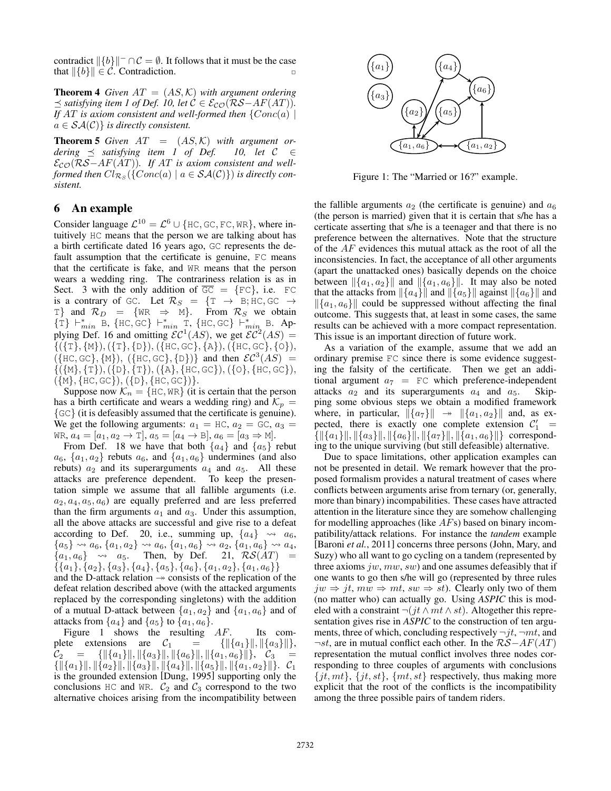contradict  $\|\{b\}\|$ <sup>-</sup> ∩  $C = \emptyset$ . It follows that it must be the case that  $\|\{b\}\| \in \mathcal{C}$ . Contradiction.

**Theorem 4** *Given*  $AT = (AS, K)$  *with argument ordering*  $\preceq$  *satisfying item 1 of Def. 10, let*  $C \in \mathcal{E}_{CO}(\mathcal{RS}-AF(AT))$ *. If*  $AT$  *is axiom consistent and well-formed then*  $\{Conc(a) |$  $a \in \mathcal{SA}(\mathcal{C})$  *is directly consistent.* 

**Theorem 5** *Given*  $AT = (AS, K)$  *with argument ordering*  $\preceq$  *satisfying item 1 of Def. 10, let*  $C \in$ *dering*  $\preceq$  *satisfying item 1 of Def.* ECO(RS−AF(AT))*. If* AT *is axiom consistent and wellformed then*  $Cl_{\mathcal{R}_S}(\{Conc(a) \mid a \in \mathcal{SA}(\mathcal{C})\})$  is directly con*sistent.*

#### 6 An example

Consider language  $\mathcal{L}^{10} = \mathcal{L}^6 \cup \{\text{HC}, \text{GC}, \text{FC}, \text{WR}\}\,$ , where intuitively HC means that the person we are talking about has a birth certificate dated 16 years ago, GC represents the default assumption that the certificate is genuine, FC means that the certificate is fake, and WR means that the person wears a wedding ring. The contrariness relation is as in Sect. 3 with the only addition of  $\overline{GC} = \{FC\}$ , i.e. FC is a contrary of GC. Let  $\mathcal{R}_S = \{T \rightarrow B; HC, GC \rightarrow$ T} and  $\mathcal{R}_D = \{WR \Rightarrow M\}$ . From  $\mathcal{R}_S$  we obtain  $\{\hat{T}\}\vdash_{min}^* B, \{\text{HC}, \text{GC}\}\vdash_{min}^* \overline{T}, \{\text{HC}, \text{GC}\}\vdash_{min}^* B.$  Applying Def. 16 and omitting  $\mathcal{EC}^1(AS)$ , we get  $\mathcal{EC}^2(AS)$  $\{(\{\texttt{T}\}, \{\texttt{M}\}), (\{\texttt{T}\}, \{\texttt{D}\}), (\{\texttt{HC}, \texttt{GC}\}, \{\texttt{A}\}), (\{\texttt{HC}, \texttt{GC}\}, \{\texttt{O}\}),$  $({\lbrace HC, GC \rbrace},{\lbrace M \rbrace}),$  ( ${\lbrace HC, GC \rbrace},{\lbrace D \rbrace})}$  and then  $\mathcal{EC}^3(AS)$ )  $\{(\{\mathbb{M}\},\{\mathbb{T}\}),(\{\mathbb{D}\},\{\mathbb{T}\}),(\{\mathbb{A}\},\{\mathbb{H}\mathbb{C},\mathbb{G}\mathbb{C}\}),(\{\mathbb{O}\},\{\mathbb{H}\mathbb{C},\mathbb{G}\mathbb{C}\}),\$  $({M}, {HC}, {GC}), ({D}, {HC}, {GC})$ . State arising from the contribution of  $\sum_{k=1}^{\infty} \{x_k\}$  (a)  $\left(\frac{a_k}{a_k}\right)$  (a)  $\left(\frac{a_k}{a_k}\right)$  (b)  $\left(\frac{a_k}{a_k}\right)$  (c)  $\left(\frac{a_k}{a_k}\right)$  (c)  $\left(\frac{a_k}{a_k}\right)$  (c)  $\left(\frac{a_k}{a_k}\right)$  (c)  $\left(\frac{a_k}{a_k}\right)$  (c)  $\left(\frac{a_k}{a_k}\right)$  (

Suppose now  $\mathcal{K}_n = \{ \text{HC}, \text{WR} \}$  (it is certain that the person has a birth certificate and wears a wedding ring) and  $\mathcal{K}_p =$  $\{GC\}$  (it is defeasibly assumed that the certificate is genuine). We get the following arguments:  $a_1 = \text{HC}$ ,  $a_2 = \text{GC}$ ,  $a_3 =$ WR,  $a_4 = [a_1, a_2 \to \text{T}], a_5 = [a_4 \to \text{B}], a_6 = [a_3 \Rightarrow \text{M}].$ 

From Def. 18 we have that both  $\{a_4\}$  and  $\{a_5\}$  rebut  $a_6$ ,  $\{a_1, a_2\}$  rebuts  $a_6$ , and  $\{a_1, a_6\}$  undermines (and also rebuts)  $a_2$  and its superarguments  $a_4$  and  $a_5$ . All these attacks are preference dependent. To keep the presentation simple we assume that all fallible arguments (i.e.  $a_2, a_4, a_5, a_6$  are equally preferred and are less preferred than the firm arguments  $a_1$  and  $a_3$ . Under this assumption, all the above attacks are successful and give rise to a defeat according to Def. 20, i.e., summing up,  $\{a_4\} \rightsquigarrow a_6$ ,  ${a_5} \leadsto a_6, {a_1, a_2} \leadsto a_6, {a_1, a_6} \leadsto a_2, {a_1, a_6} \leadsto a_4,$  ${a_1, a_6} \rightarrow a_5$ . Then, by Def. 21,  $\mathcal{RS}(AT) =$  $\{\{a_1\}, \{a_2\}, \{a_3\}, \{a_4\}, \{a_5\}, \{a_6\}, \{a_1, a_2\}, \{a_1, a_6\}\}$ 

and the D-attack relation  $\rightarrow$  consists of the replication of the defeat relation described above (with the attacked arguments replaced by the corresponding singletons) with the addition of a mutual D-attack between  $\{a_1, a_2\}$  and  $\{a_1, a_6\}$  and of attacks from  $\{a_4\}$  and  $\{a_5\}$  to  $\{a_1, a_6\}$ .

Figure 1 shows the resulting AF. Its complete extensions are  $C_1 = {\{\|\{a_1\}\|,\|\{a_3\}\|\}}$ ,  $\mathcal{C}_2 = \{ \| \{a_1\}\|, \| \{a_3\}\|, \| \{a_6\}\|, \| \{a_1, a_6\}\| \}, \quad \mathcal{C}_3 =$  $\{ \| \{a_1\}\|, \| \{a_2\}\|, \| \{a_3\}\|, \| \{a_4\}\|, \| \{a_5\}\|, \| \{a_1, a_2\}\| \}.$  C<sub>1</sub> is the grounded extension [Dung, 1995] supporting only the conclusions HC and WR.  $C_2$  and  $C_3$  correspond to the two alternative choices arising from the incompatibility between



Figure 1: The "Married or 16?" example.

the fallible arguments  $a_2$  (the certificate is genuine) and  $a_6$ (the person is married) given that it is certain that s/he has a certicate asserting that s/he is a teenager and that there is no preference between the alternatives. Note that the structure of the AF evidences this mutual attack as the root of all the inconsistencies. In fact, the acceptance of all other arguments (apart the unattacked ones) basically depends on the choice between  $\|\{a_1, a_2\}\|$  and  $\|\{a_1, a_6\}\|$ . It may also be noted that the attacks from  $\|\{a_4\}\|$  and  $\|\{a_5\}\|$  against  $\|\{a_6\}\|$  and  $\|\{a_1, a_6\}\|$  could be suppressed without affecting the final outcome. This suggests that, at least in some cases, the same results can be achieved with a more compact representation. This issue is an important direction of future work.

As a variation of the example, assume that we add an ordinary premise FC since there is some evidence suggesting the falsity of the certificate. Then we get an additional argument  $a_7$  = FC which preference-independent attacks  $a_2$  and its superarguments  $a_4$  and  $a_5$ . Skipping some obvious steps we obtain a modified framework where, in particular,  $\|\{a_7\}\| \rightarrow \|\{a_1, a_2\}\|$  and, as expected, there is exactly one complete extension  $C_1' =$  $\{ \| \{a_1\}\|, \| \{a_3\}\|, \| \{a_6\}\|, \| \{a_7\}\|, \| \{a_1, a_6\}\| \}$  corresponding to the unique surviving (but still defeasible) alternative.

Due to space limitations, other application examples can not be presented in detail. We remark however that the proposed formalism provides a natural treatment of cases where conflicts between arguments arise from ternary (or, generally, more than binary) incompabilities. These cases have attracted attention in the literature since they are somehow challenging for modelling approaches (like  $AFs$ ) based on binary incompatibility/attack relations. For instance the *tandem* example [Baroni *et al.*, 2011] concerns three persons (John, Mary, and Suzy) who all want to go cycling on a tandem (represented by three axioms  $jw, mw, sw$  and one assumes defeasibly that if one wants to go then s/he will go (represented by three rules  $jw \Rightarrow jt, mw \Rightarrow mt, sw \Rightarrow st)$ . Clearly only two of them (no matter who) can actually go. Using *ASPIC* this is modeled with a constraint  $\neg(jt \wedge mt \wedge st)$ . Altogether this representation gives rise in *ASPIC* to the construction of ten arguments, three of which, concluding respectively  $\neg jt$ ,  $\neg mt$ , and  $\neg st$ , are in mutual conflict each other. In the  $R\mathcal{S}-AF(AT)$ representation the mutual conflict involves three nodes corresponding to three couples of arguments with conclusions  $\{jt, mt\}, \{jt, st\}, \{mt, st\}$  respectively, thus making more explicit that the root of the conflicts is the incompatibility among the three possible pairs of tandem riders.